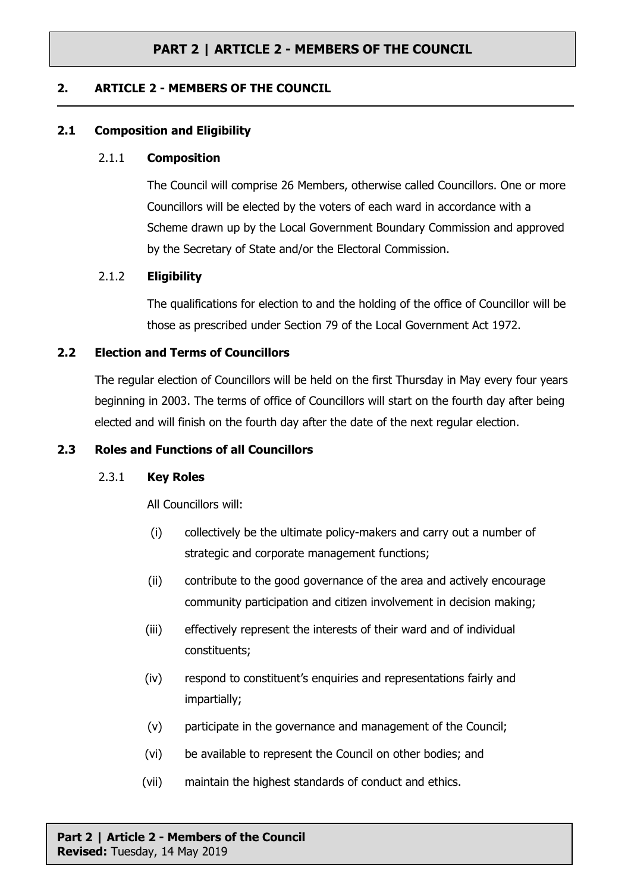### **2. ARTICLE 2 - MEMBERS OF THE COUNCIL**

### **2.1 Composition and Eligibility**

#### 2.1.1 **Composition**

The Council will comprise 26 Members, otherwise called Councillors. One or more Councillors will be elected by the voters of each ward in accordance with a Scheme drawn up by the Local Government Boundary Commission and approved by the Secretary of State and/or the Electoral Commission.

### 2.1.2 **Eligibility**

The qualifications for election to and the holding of the office of Councillor will be those as prescribed under Section 79 of the Local Government Act 1972.

### **2.2 Election and Terms of Councillors**

The regular election of Councillors will be held on the first Thursday in May every four years beginning in 2003. The terms of office of Councillors will start on the fourth day after being elected and will finish on the fourth day after the date of the next regular election.

#### **2.3 Roles and Functions of all Councillors**

#### 2.3.1 **Key Roles**

All Councillors will:

- (i) collectively be the ultimate policy-makers and carry out a number of strategic and corporate management functions;
- (ii) contribute to the good governance of the area and actively encourage community participation and citizen involvement in decision making;
- (iii) effectively represent the interests of their ward and of individual constituents;
- (iv) respond to constituent's enquiries and representations fairly and impartially;
- (v) participate in the governance and management of the Council;
- (vi) be available to represent the Council on other bodies; and
- (vii) maintain the highest standards of conduct and ethics.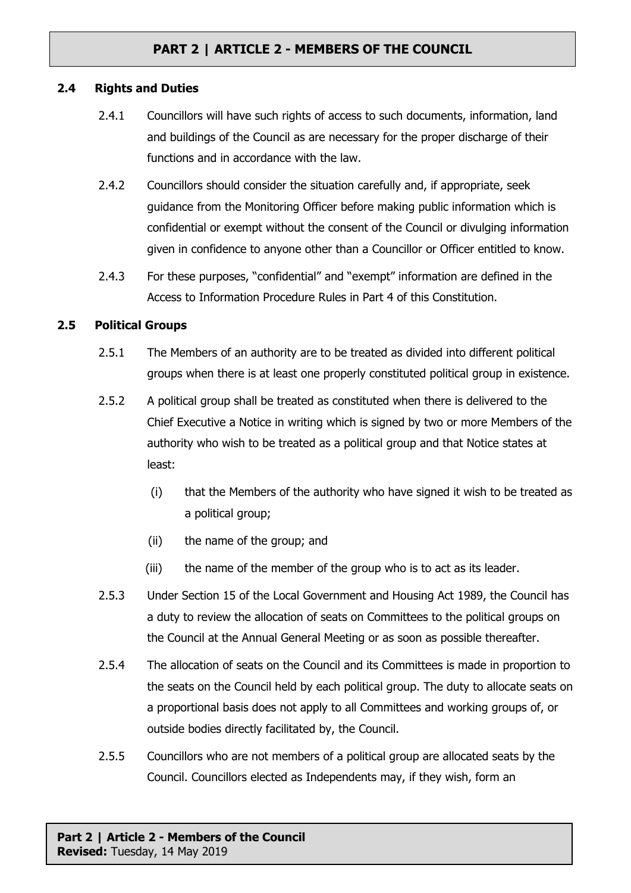### **2.4 Rights and Duties**

- 2.4.1 Councillors will have such rights of access to such documents, information, land and buildings of the Council as are necessary for the proper discharge of their functions and in accordance with the law.
- 2.4.2 Councillors should consider the situation carefully and, if appropriate, seek guidance from the Monitoring Officer before making public information which is confidential or exempt without the consent of the Council or divulging information given in confidence to anyone other than a Councillor or Officer entitled to know.
- 2.4.3 For these purposes, "confidential" and "exempt" information are defined in the Access to Information Procedure Rules in Part 4 of this Constitution.

### **2.5 Political Groups**

- 2.5.1 The Members of an authority are to be treated as divided into different political groups when there is at least one properly constituted political group in existence.
- 2.5.2 A political group shall be treated as constituted when there is delivered to the Chief Executive a Notice in writing which is signed by two or more Members of the authority who wish to be treated as a political group and that Notice states at least:
	- (i) that the Members of the authority who have signed it wish to be treated as a political group;
	- (ii) the name of the group; and
	- (iii) the name of the member of the group who is to act as its leader.
- 2.5.3 Under Section 15 of the Local Government and Housing Act 1989, the Council has a duty to review the allocation of seats on Committees to the political groups on the Council at the Annual General Meeting or as soon as possible thereafter.
- 2.5.4 The allocation of seats on the Council and its Committees is made in proportion to the seats on the Council held by each political group. The duty to allocate seats on a proportional basis does not apply to all Committees and working groups of, or outside bodies directly facilitated by, the Council.
- 2.5.5 Councillors who are not members of a political group are allocated seats by the Council. Councillors elected as Independents may, if they wish, form an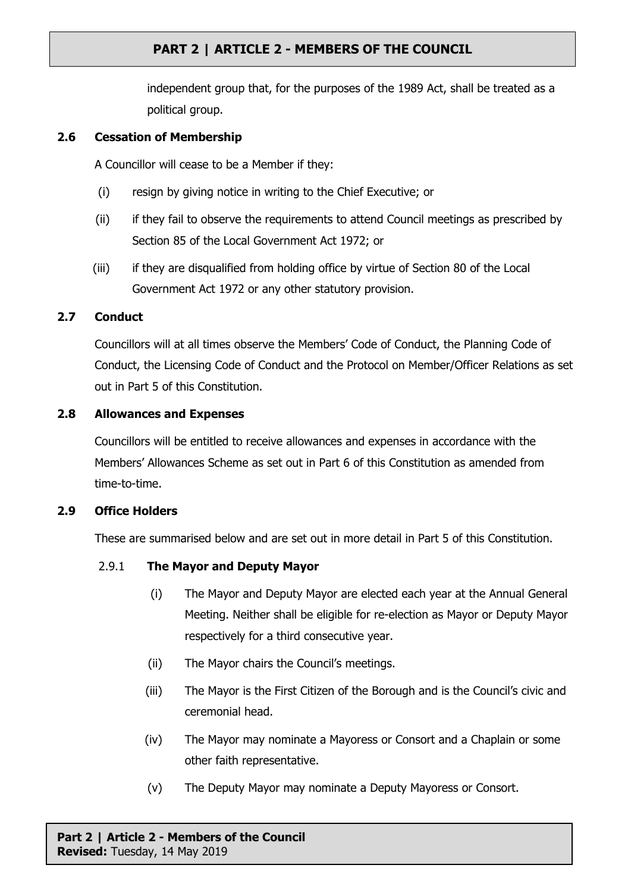independent group that, for the purposes of the 1989 Act, shall be treated as a political group.

## **2.6 Cessation of Membership**

A Councillor will cease to be a Member if they:

- (i) resign by giving notice in writing to the Chief Executive; or
- (ii) if they fail to observe the requirements to attend Council meetings as prescribed by Section 85 of the Local Government Act 1972; or
- (iii) if they are disqualified from holding office by virtue of Section 80 of the Local Government Act 1972 or any other statutory provision.

## **2.7 Conduct**

Councillors will at all times observe the Members' Code of Conduct, the Planning Code of Conduct, the Licensing Code of Conduct and the Protocol on Member/Officer Relations as set out in Part 5 of this Constitution.

### **2.8 Allowances and Expenses**

Councillors will be entitled to receive allowances and expenses in accordance with the Members' Allowances Scheme as set out in Part 6 of this Constitution as amended from time-to-time.

## **2.9 Office Holders**

These are summarised below and are set out in more detail in Part 5 of this Constitution.

## 2.9.1 **The Mayor and Deputy Mayor**

- (i) The Mayor and Deputy Mayor are elected each year at the Annual General Meeting. Neither shall be eligible for re-election as Mayor or Deputy Mayor respectively for a third consecutive year.
- (ii) The Mayor chairs the Council's meetings.
- (iii) The Mayor is the First Citizen of the Borough and is the Council's civic and ceremonial head.
- (iv) The Mayor may nominate a Mayoress or Consort and a Chaplain or some other faith representative.
- (v) The Deputy Mayor may nominate a Deputy Mayoress or Consort.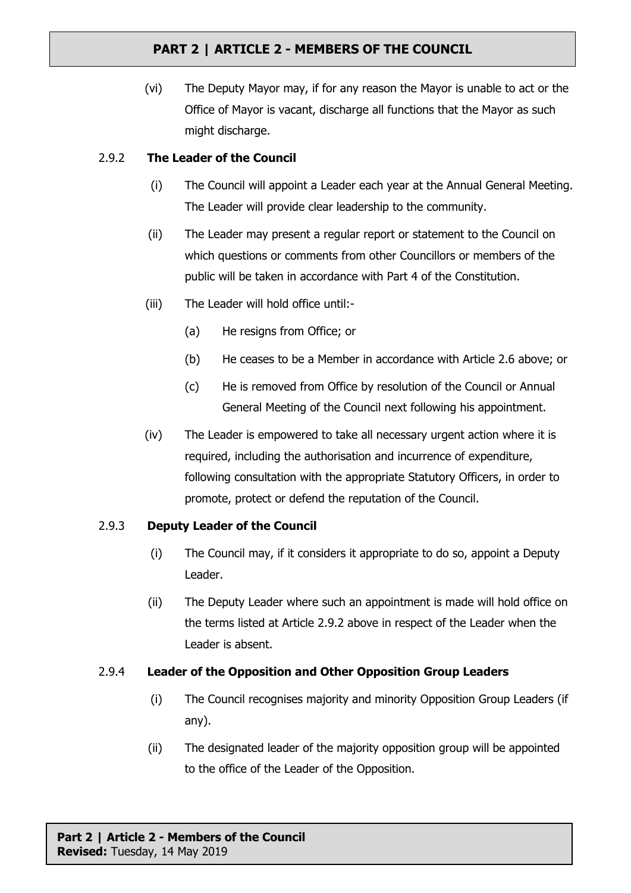(vi) The Deputy Mayor may, if for any reason the Mayor is unable to act or the Office of Mayor is vacant, discharge all functions that the Mayor as such might discharge.

## 2.9.2 **The Leader of the Council**

- (i) The Council will appoint a Leader each year at the Annual General Meeting. The Leader will provide clear leadership to the community.
- (ii) The Leader may present a regular report or statement to the Council on which questions or comments from other Councillors or members of the public will be taken in accordance with Part 4 of the Constitution.
- (iii) The Leader will hold office until:-
	- (a) He resigns from Office; or
	- (b) He ceases to be a Member in accordance with Article 2.6 above; or
	- (c) He is removed from Office by resolution of the Council or Annual General Meeting of the Council next following his appointment.
- (iv) The Leader is empowered to take all necessary urgent action where it is required, including the authorisation and incurrence of expenditure, following consultation with the appropriate Statutory Officers, in order to promote, protect or defend the reputation of the Council.

## 2.9.3 **Deputy Leader of the Council**

- (i) The Council may, if it considers it appropriate to do so, appoint a Deputy Leader.
- (ii) The Deputy Leader where such an appointment is made will hold office on the terms listed at Article 2.9.2 above in respect of the Leader when the Leader is absent.

## 2.9.4 **Leader of the Opposition and Other Opposition Group Leaders**

- (i) The Council recognises majority and minority Opposition Group Leaders (if any).
- (ii) The designated leader of the majority opposition group will be appointed to the office of the Leader of the Opposition.